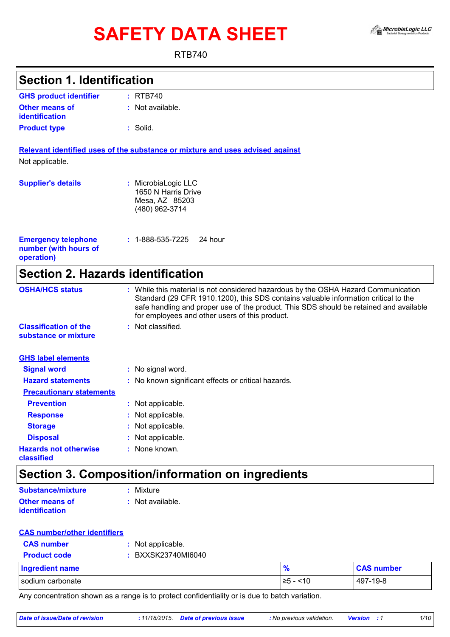# SAFETY DATA SHEET A A MicrobiaLogic LLC



RTB740

| <b>Section 1. Identification</b>                                  |                                                                                                                                                                                                                                                                                                                       |  |
|-------------------------------------------------------------------|-----------------------------------------------------------------------------------------------------------------------------------------------------------------------------------------------------------------------------------------------------------------------------------------------------------------------|--|
|                                                                   |                                                                                                                                                                                                                                                                                                                       |  |
| <b>GHS product identifier</b>                                     | : RTB740                                                                                                                                                                                                                                                                                                              |  |
| <b>Other means of</b><br><b>identification</b>                    | : Not available.                                                                                                                                                                                                                                                                                                      |  |
| <b>Product type</b>                                               | : Solid.                                                                                                                                                                                                                                                                                                              |  |
|                                                                   | Relevant identified uses of the substance or mixture and uses advised against                                                                                                                                                                                                                                         |  |
| Not applicable.                                                   |                                                                                                                                                                                                                                                                                                                       |  |
| <b>Supplier's details</b>                                         | : MicrobiaLogic LLC<br>1650 N Harris Drive<br>Mesa, AZ 85203<br>(480) 962-3714                                                                                                                                                                                                                                        |  |
| <b>Emergency telephone</b><br>number (with hours of<br>operation) | $: 1 - 888 - 535 - 7225$<br>24 hour                                                                                                                                                                                                                                                                                   |  |
| <b>Section 2. Hazards identification</b>                          |                                                                                                                                                                                                                                                                                                                       |  |
| <b>OSHA/HCS status</b>                                            | : While this material is not considered hazardous by the OSHA Hazard Communication<br>Standard (29 CFR 1910.1200), this SDS contains valuable information critical to the<br>safe handling and proper use of the product. This SDS should be retained and available<br>for employees and other users of this product. |  |
| <b>Classification of the</b><br>substance or mixture              | : Not classified.                                                                                                                                                                                                                                                                                                     |  |
| <b>GHS label elements</b>                                         |                                                                                                                                                                                                                                                                                                                       |  |
| <b>Signal word</b>                                                | : No signal word.                                                                                                                                                                                                                                                                                                     |  |
| <b>Hazard statements</b>                                          | : No known significant effects or critical hazards.                                                                                                                                                                                                                                                                   |  |
| <b>Precautionary statements</b>                                   |                                                                                                                                                                                                                                                                                                                       |  |
| <b>Prevention</b>                                                 | : Not applicable.                                                                                                                                                                                                                                                                                                     |  |
| <b>Response</b>                                                   | Not applicable.                                                                                                                                                                                                                                                                                                       |  |
| <b>Storage</b>                                                    | Not applicable.                                                                                                                                                                                                                                                                                                       |  |
| <b>Disposal</b>                                                   | Not applicable.                                                                                                                                                                                                                                                                                                       |  |
| <b>Hazards not otherwise</b><br>classified                        | None known.                                                                                                                                                                                                                                                                                                           |  |
|                                                                   | <b>Section 3. Composition/information on ingredients</b>                                                                                                                                                                                                                                                              |  |
| <b>Substance/mixture</b>                                          | : Mixture                                                                                                                                                                                                                                                                                                             |  |
| <b>Other means of</b><br>identification                           | : Not available.                                                                                                                                                                                                                                                                                                      |  |
|                                                                   |                                                                                                                                                                                                                                                                                                                       |  |
| <b>CAS number/other identifiers</b>                               |                                                                                                                                                                                                                                                                                                                       |  |
| <b>CAS number</b>                                                 | Not applicable.                                                                                                                                                                                                                                                                                                       |  |

| <b>Ingredient name</b> | $\frac{9}{6}$        | <b>CAS number</b> |
|------------------------|----------------------|-------------------|
| sodium carbonate       | ~10<br>.≥5<br>$\sim$ | 497-19-8          |

Any concentration shown as a range is to protect confidentiality or is due to batch variation.

*Date of issue/Date of revision* **:** *11/18/2015. Date of previous issue : No previous validation. Version : 1 1/10*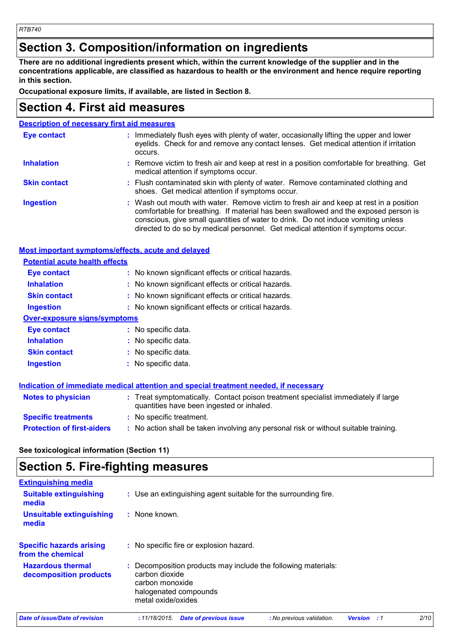## **Section 3. Composition/information on ingredients**

**There are no additional ingredients present which, within the current knowledge of the supplier and in the concentrations applicable, are classified as hazardous to health or the environment and hence require reporting in this section.**

**Occupational exposure limits, if available, are listed in Section 8.**

## **Section 4. First aid measures**

| <b>Description of necessary first aid measures</b> |                                                                                                                                                                                                                                                                                                                                                        |  |
|----------------------------------------------------|--------------------------------------------------------------------------------------------------------------------------------------------------------------------------------------------------------------------------------------------------------------------------------------------------------------------------------------------------------|--|
| <b>Eye contact</b>                                 | : Immediately flush eyes with plenty of water, occasionally lifting the upper and lower<br>eyelids. Check for and remove any contact lenses. Get medical attention if irritation<br>occurs.                                                                                                                                                            |  |
| <b>Inhalation</b>                                  | : Remove victim to fresh air and keep at rest in a position comfortable for breathing. Get<br>medical attention if symptoms occur.                                                                                                                                                                                                                     |  |
| <b>Skin contact</b>                                | : Flush contaminated skin with plenty of water. Remove contaminated clothing and<br>shoes. Get medical attention if symptoms occur.                                                                                                                                                                                                                    |  |
| <b>Ingestion</b>                                   | : Wash out mouth with water. Remove victim to fresh air and keep at rest in a position<br>comfortable for breathing. If material has been swallowed and the exposed person is<br>conscious, give small quantities of water to drink. Do not induce vomiting unless<br>directed to do so by medical personnel. Get medical attention if symptoms occur. |  |

### **Most important symptoms/effects, acute and delayed**

| <b>Potential acute health effects</b>                                                |                                                                                                                                |  |  |
|--------------------------------------------------------------------------------------|--------------------------------------------------------------------------------------------------------------------------------|--|--|
| Eye contact                                                                          | : No known significant effects or critical hazards.                                                                            |  |  |
| <b>Inhalation</b>                                                                    | : No known significant effects or critical hazards.                                                                            |  |  |
| <b>Skin contact</b>                                                                  | : No known significant effects or critical hazards.                                                                            |  |  |
| <b>Ingestion</b>                                                                     | : No known significant effects or critical hazards.                                                                            |  |  |
| <b>Over-exposure signs/symptoms</b>                                                  |                                                                                                                                |  |  |
| Eye contact                                                                          | : No specific data.                                                                                                            |  |  |
| <b>Inhalation</b>                                                                    | : No specific data.                                                                                                            |  |  |
| <b>Skin contact</b>                                                                  | : No specific data.                                                                                                            |  |  |
| <b>Ingestion</b>                                                                     | : No specific data.                                                                                                            |  |  |
| Indication of immediate medical attention and special treatment needed, if necessary |                                                                                                                                |  |  |
| <b>Notes to physician</b>                                                            | : Treat symptomatically. Contact poison treatment specialist immediately if large<br>quantities have been ingested or inhaled. |  |  |
| <b>Specific treatments</b>                                                           | : No specific treatment.                                                                                                       |  |  |
| <b>Protection of first-aiders</b>                                                    | : No action shall be taken involving any personal risk or without suitable training.                                           |  |  |

**See toxicological information (Section 11)**

## **Section 5. Fire-fighting measures**

| <b>Extinguishing media</b>                           |                                                                                                                                                 |      |
|------------------------------------------------------|-------------------------------------------------------------------------------------------------------------------------------------------------|------|
| <b>Suitable extinguishing</b><br>media               | : Use an extinguishing agent suitable for the surrounding fire.                                                                                 |      |
| <b>Unsuitable extinguishing</b><br>media             | : None known.                                                                                                                                   |      |
| <b>Specific hazards arising</b><br>from the chemical | : No specific fire or explosion hazard.                                                                                                         |      |
| <b>Hazardous thermal</b><br>decomposition products   | Decomposition products may include the following materials:<br>carbon dioxide<br>carbon monoxide<br>halogenated compounds<br>metal oxide/oxides |      |
| Date of issue/Date of revision                       | : 11/18/2015.<br><b>Date of previous issue</b><br>: No previous validation.<br><b>Version</b> : 1                                               | 2/10 |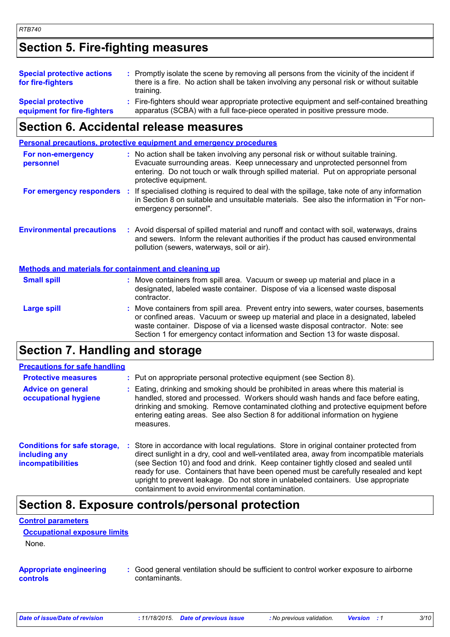## **Section 5. Fire-fighting measures**

| <b>Special protective actions</b><br>for fire-fighters   | : Promptly isolate the scene by removing all persons from the vicinity of the incident if<br>there is a fire. No action shall be taken involving any personal risk or without suitable<br>training. |  |
|----------------------------------------------------------|-----------------------------------------------------------------------------------------------------------------------------------------------------------------------------------------------------|--|
| <b>Special protective</b><br>equipment for fire-fighters | : Fire-fighters should wear appropriate protective equipment and self-contained breathing<br>apparatus (SCBA) with a full face-piece operated in positive pressure mode.                            |  |

## **Section 6. Accidental release measures**

|                                                              | <b>Personal precautions, protective equipment and emergency procedures</b>                                                                                                                                                                                                           |
|--------------------------------------------------------------|--------------------------------------------------------------------------------------------------------------------------------------------------------------------------------------------------------------------------------------------------------------------------------------|
| For non-emergency<br>personnel                               | : No action shall be taken involving any personal risk or without suitable training.<br>Evacuate surrounding areas. Keep unnecessary and unprotected personnel from<br>entering. Do not touch or walk through spilled material. Put on appropriate personal<br>protective equipment. |
| For emergency responders :                                   | If specialised clothing is required to deal with the spillage, take note of any information<br>in Section 8 on suitable and unsuitable materials. See also the information in "For non-<br>emergency personnel".                                                                     |
| <b>Environmental precautions</b>                             | : Avoid dispersal of spilled material and runoff and contact with soil, waterways, drains<br>and sewers. Inform the relevant authorities if the product has caused environmental<br>pollution (sewers, waterways, soil or air).                                                      |
| <u>Methods and materials for containment and cleaning up</u> |                                                                                                                                                                                                                                                                                      |
| <b>Small spill</b>                                           | : Move containers from spill area. Vacuum or sweep up material and place in a<br>designated, labeled waste container. Dispose of via a licensed waste disposal                                                                                                                       |

|             | ucsignated, labeled waste container. Dispose or via a licensed waste disposal<br>contractor.                                                                                                                                                                                                                                                   |
|-------------|------------------------------------------------------------------------------------------------------------------------------------------------------------------------------------------------------------------------------------------------------------------------------------------------------------------------------------------------|
| Large spill | Move containers from spill area. Prevent entry into sewers, water courses, basements<br>or confined areas. Vacuum or sweep up material and place in a designated, labeled<br>waste container. Dispose of via a licensed waste disposal contractor. Note: see<br>Section 1 for emergency contact information and Section 13 for waste disposal. |

## **Section 7. Handling and storage**

| <b>Precautions for safe handling</b>                                             |    |                                                                                                                                                                                                                                                                                                                                                                                                                                                                                                             |
|----------------------------------------------------------------------------------|----|-------------------------------------------------------------------------------------------------------------------------------------------------------------------------------------------------------------------------------------------------------------------------------------------------------------------------------------------------------------------------------------------------------------------------------------------------------------------------------------------------------------|
| <b>Protective measures</b>                                                       |    | : Put on appropriate personal protective equipment (see Section 8).                                                                                                                                                                                                                                                                                                                                                                                                                                         |
| <b>Advice on general</b><br>occupational hygiene                                 |    | Eating, drinking and smoking should be prohibited in areas where this material is<br>handled, stored and processed. Workers should wash hands and face before eating,<br>drinking and smoking. Remove contaminated clothing and protective equipment before<br>entering eating areas. See also Section 8 for additional information on hygiene<br>measures.                                                                                                                                                 |
| <b>Conditions for safe storage,</b><br>including any<br><b>incompatibilities</b> | ÷. | Store in accordance with local regulations. Store in original container protected from<br>direct sunlight in a dry, cool and well-ventilated area, away from incompatible materials<br>(see Section 10) and food and drink. Keep container tightly closed and sealed until<br>ready for use. Containers that have been opened must be carefully resealed and kept<br>upright to prevent leakage. Do not store in unlabeled containers. Use appropriate<br>containment to avoid environmental contamination. |

## **Section 8. Exposure controls/personal protection**

### **Control parameters**

| <b>Occupational exposure limits</b> |  |
|-------------------------------------|--|
| None.                               |  |

#### **Appropriate engineering controls**

**:** Good general ventilation should be sufficient to control worker exposure to airborne contaminants.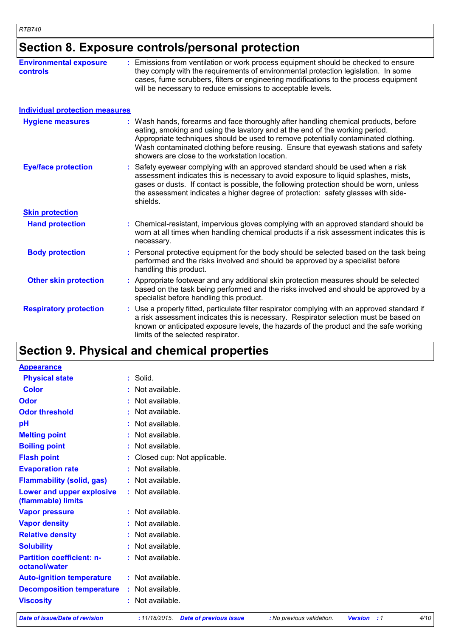## **Section 8. Exposure controls/personal protection**

| <b>Environmental exposure</b><br>controls | Emissions from ventilation or work process equipment should be checked to ensure<br>they comply with the requirements of environmental protection legislation. In some<br>cases, fume scrubbers, filters or engineering modifications to the process equipment<br>will be necessary to reduce emissions to acceptable levels.                                                                     |
|-------------------------------------------|---------------------------------------------------------------------------------------------------------------------------------------------------------------------------------------------------------------------------------------------------------------------------------------------------------------------------------------------------------------------------------------------------|
| <b>Individual protection measures</b>     |                                                                                                                                                                                                                                                                                                                                                                                                   |
| <b>Hygiene measures</b>                   | : Wash hands, forearms and face thoroughly after handling chemical products, before<br>eating, smoking and using the lavatory and at the end of the working period.<br>Appropriate techniques should be used to remove potentially contaminated clothing.<br>Wash contaminated clothing before reusing. Ensure that eyewash stations and safety<br>showers are close to the workstation location. |
| <b>Eye/face protection</b>                | Safety eyewear complying with an approved standard should be used when a risk<br>assessment indicates this is necessary to avoid exposure to liquid splashes, mists,<br>gases or dusts. If contact is possible, the following protection should be worn, unless<br>the assessment indicates a higher degree of protection: safety glasses with side-<br>shields.                                  |
| <b>Skin protection</b>                    |                                                                                                                                                                                                                                                                                                                                                                                                   |
| <b>Hand protection</b>                    | : Chemical-resistant, impervious gloves complying with an approved standard should be<br>worn at all times when handling chemical products if a risk assessment indicates this is<br>necessary.                                                                                                                                                                                                   |
| <b>Body protection</b>                    | : Personal protective equipment for the body should be selected based on the task being<br>performed and the risks involved and should be approved by a specialist before<br>handling this product.                                                                                                                                                                                               |
| <b>Other skin protection</b>              | Appropriate footwear and any additional skin protection measures should be selected<br>based on the task being performed and the risks involved and should be approved by a<br>specialist before handling this product.                                                                                                                                                                           |
| <b>Respiratory protection</b>             | Use a properly fitted, particulate filter respirator complying with an approved standard if<br>a risk assessment indicates this is necessary. Respirator selection must be based on<br>known or anticipated exposure levels, the hazards of the product and the safe working<br>limits of the selected respirator.                                                                                |

## **Section 9. Physical and chemical properties**

| <b>Appearance</b>                                 |                               |
|---------------------------------------------------|-------------------------------|
| <b>Physical state</b>                             | : Solid.                      |
| <b>Color</b>                                      | : Not available.              |
| Odor                                              | : Not available.              |
| <b>Odor threshold</b>                             | : Not available.              |
| pH                                                | : Not available.              |
| <b>Melting point</b>                              | : Not available.              |
| <b>Boiling point</b>                              | : Not available.              |
| <b>Flash point</b>                                | : Closed cup: Not applicable. |
| <b>Evaporation rate</b>                           | : Not available.              |
| <b>Flammability (solid, gas)</b>                  | : Not available.              |
| Lower and upper explosive<br>(flammable) limits   | : Not available.              |
| <b>Vapor pressure</b>                             | $:$ Not available.            |
| <b>Vapor density</b>                              | : Not available.              |
| <b>Relative density</b>                           | : Not available.              |
| <b>Solubility</b>                                 | : Not available.              |
| <b>Partition coefficient: n-</b><br>octanol/water | : Not available.              |
| <b>Auto-ignition temperature</b>                  | : Not available.              |
| <b>Decomposition temperature</b>                  | : Not available.              |
| <b>Viscosity</b>                                  | : Not available.              |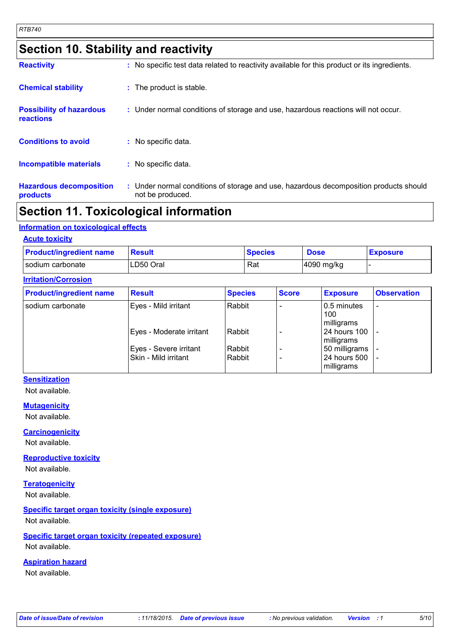## **Section 10. Stability and reactivity**

| <b>Hazardous decomposition</b><br>products          | : Under normal conditions of storage and use, hazardous decomposition products should<br>not be produced. |
|-----------------------------------------------------|-----------------------------------------------------------------------------------------------------------|
| <b>Incompatible materials</b>                       | : No specific data.                                                                                       |
| <b>Conditions to avoid</b>                          | : No specific data.                                                                                       |
| <b>Possibility of hazardous</b><br><b>reactions</b> | : Under normal conditions of storage and use, hazardous reactions will not occur.                         |
| <b>Chemical stability</b>                           | : The product is stable.                                                                                  |
| <b>Reactivity</b>                                   | : No specific test data related to reactivity available for this product or its ingredients.              |

## **Section 11. Toxicological information**

### **Information on toxicological effects**

### **Acute toxicity**

| <b>Product/ingredient name</b> | Result    | <b>Species</b> | <b>Dose</b> | <b>Exposure</b> |
|--------------------------------|-----------|----------------|-------------|-----------------|
| I sodium carbonate             | LD50 Oral | Rat            | 4090 mg/kg  |                 |

### **Irritation/Corrosion**

| <b>Product/ingredient name</b> | <b>Result</b>            | <b>Species</b> | <b>Score</b> | <b>Exposure</b>                  | <b>Observation</b>       |
|--------------------------------|--------------------------|----------------|--------------|----------------------------------|--------------------------|
| sodium carbonate               | Eyes - Mild irritant     | Rabbit         |              | 0.5 minutes<br>100<br>milligrams | $\overline{\phantom{0}}$ |
|                                | Eyes - Moderate irritant | Rabbit         |              | 24 hours 100<br>milligrams       |                          |
|                                | Eyes - Severe irritant   | Rabbit         |              | 50 milligrams                    |                          |
|                                | Skin - Mild irritant     | Rabbit         |              | 24 hours 500<br>milligrams       |                          |

### **Sensitization**

Not available.

#### **Mutagenicity**

Not available.

### **Carcinogenicity**

Not available.

### **Reproductive toxicity**

Not available.

### **Teratogenicity**

Not available.

### **Specific target organ toxicity (single exposure)**

Not available.

### **Specific target organ toxicity (repeated exposure)**

Not available.

### **Aspiration hazard**

Not available.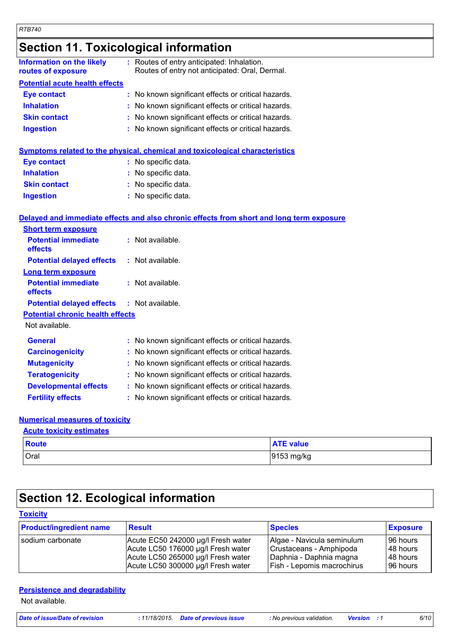## **Section 11. Toxicological information**

| Information on the likely<br>routes of exposure | : Routes of entry anticipated: Inhalation.<br>Routes of entry not anticipated: Oral, Dermal. |
|-------------------------------------------------|----------------------------------------------------------------------------------------------|
| <b>Potential acute health effects</b>           |                                                                                              |
| Eye contact                                     | : No known significant effects or critical hazards.                                          |
| <b>Inhalation</b>                               | : No known significant effects or critical hazards.                                          |
| <b>Skin contact</b>                             | : No known significant effects or critical hazards.                                          |
| <b>Ingestion</b>                                | : No known significant effects or critical hazards.                                          |
|                                                 | Symptoms related to the physical, chemical and toxicological characteristics                 |
| <b>Eye contact</b>                              | : No specific data.                                                                          |
|                                                 |                                                                                              |

| <b>Inhalation</b>   | : No specific data. |
|---------------------|---------------------|
| <b>Skin contact</b> | : No specific data. |
| <b>Ingestion</b>    | : No specific data. |

### **Delayed and immediate effects and also chronic effects from short and long term exposure**

| <b>Short term exposure</b>                        |                                                     |
|---------------------------------------------------|-----------------------------------------------------|
| <b>Potential immediate</b><br><b>effects</b>      | : Not available.                                    |
| <b>Potential delayed effects</b>                  | : Not available.                                    |
| <b>Long term exposure</b>                         |                                                     |
| <b>Potential immediate</b><br><b>effects</b>      | $:$ Not available.                                  |
| <b>Potential delayed effects : Not available.</b> |                                                     |
| <b>Potential chronic health effects</b>           |                                                     |
| Not available.                                    |                                                     |
| <b>General</b>                                    | : No known significant effects or critical hazards. |
| <b>Carcinogenicity</b>                            | : No known significant effects or critical hazards. |
| <b>Mutagenicity</b>                               | : No known significant effects or critical hazards. |
| <b>Teratogenicity</b>                             | : No known significant effects or critical hazards. |
| <b>Developmental effects</b>                      | : No known significant effects or critical hazards. |
| <b>Fertility effects</b>                          | : No known significant effects or critical hazards. |

### **Numerical measures of toxicity**

### **Acute toxicity estimates**

| <b>Route</b> | <b>ATE value</b> |
|--------------|------------------|
| Oral         | 9153 mg/kg       |

## **Section 12. Ecological information**

| <b>Toxicity</b>                |                                                                                                                                                      |                                                                                                                |                                                 |
|--------------------------------|------------------------------------------------------------------------------------------------------------------------------------------------------|----------------------------------------------------------------------------------------------------------------|-------------------------------------------------|
| <b>Product/ingredient name</b> | <b>Result</b>                                                                                                                                        | <b>Species</b>                                                                                                 | <b>Exposure</b>                                 |
| Isodium carbonate              | Acute EC50 242000 µg/l Fresh water<br>Acute LC50 176000 µg/l Fresh water<br>Acute LC50 265000 µg/l Fresh water<br>Acute LC50 300000 µg/l Fresh water | Algae - Navicula seminulum<br>Crustaceans - Amphipoda<br>Daphnia - Daphnia magna<br>Fish - Lepomis macrochirus | 196 hours<br>148 hours<br>148 hours<br>96 hours |

### **Persistence and degradability**

Not available.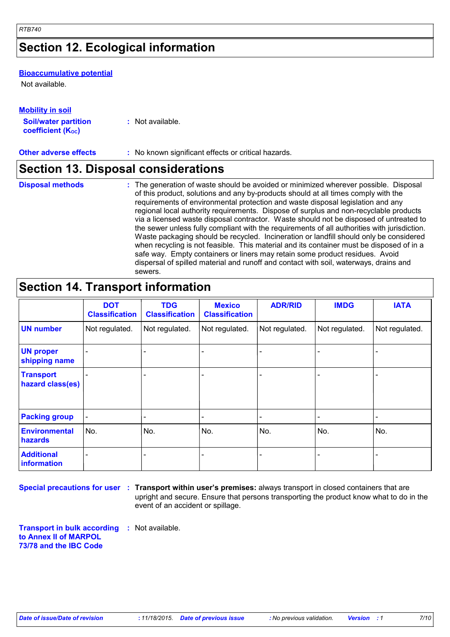## **Section 12. Ecological information**

### **Bioaccumulative potential**

Not available.

### **Mobility in soil**

| <b>Soil/water partition</b> | : Not available. |
|-----------------------------|------------------|
| <b>coefficient (Koc)</b>    |                  |

**Other adverse effects** : No known significant effects or critical hazards.

### **Section 13. Disposal considerations**

- **Disposal methods :**
- The generation of waste should be avoided or minimized wherever possible. Disposal of this product, solutions and any by-products should at all times comply with the requirements of environmental protection and waste disposal legislation and any regional local authority requirements. Dispose of surplus and non-recyclable products via a licensed waste disposal contractor. Waste should not be disposed of untreated to the sewer unless fully compliant with the requirements of all authorities with jurisdiction. Waste packaging should be recycled. Incineration or landfill should only be considered when recycling is not feasible. This material and its container must be disposed of in a safe way. Empty containers or liners may retain some product residues. Avoid dispersal of spilled material and runoff and contact with soil, waterways, drains and sewers.

## **Section 14. Transport information**

|                                      | <b>DOT</b><br><b>Classification</b> | <b>TDG</b><br><b>Classification</b> | <b>Mexico</b><br><b>Classification</b> | <b>ADR/RID</b> | <b>IMDG</b>    | <b>IATA</b>    |
|--------------------------------------|-------------------------------------|-------------------------------------|----------------------------------------|----------------|----------------|----------------|
| <b>UN number</b>                     | Not regulated.                      | Not regulated.                      | Not regulated.                         | Not regulated. | Not regulated. | Not regulated. |
| <b>UN proper</b><br>shipping name    |                                     |                                     |                                        |                |                |                |
| <b>Transport</b><br>hazard class(es) |                                     |                                     |                                        |                |                |                |
| <b>Packing group</b>                 |                                     |                                     |                                        |                |                | -              |
| <b>Environmental</b><br>hazards      | No.                                 | No.                                 | No.                                    | No.            | No.            | No.            |
| <b>Additional</b><br>information     |                                     |                                     |                                        |                |                |                |

**Special precautions for user** : Transport within user's premises: always transport in closed containers that are upright and secure. Ensure that persons transporting the product know what to do in the event of an accident or spillage.

**Transport in bulk according :** Not available. **to Annex II of MARPOL 73/78 and the IBC Code**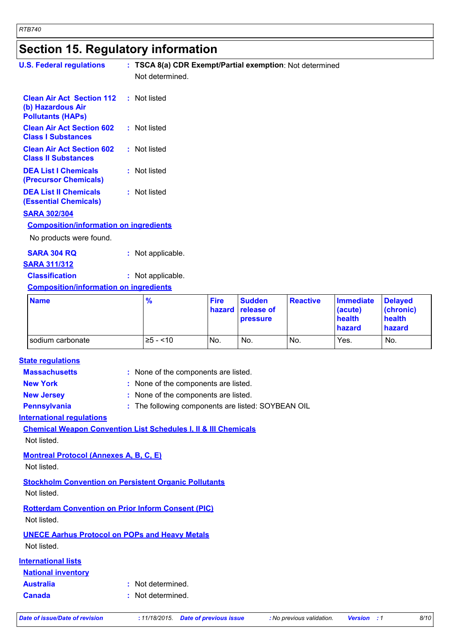## **Section 15. Regulatory information**

| <b>U.S. Federal regulations</b>                                                   | : TSCA 8(a) CDR Exempt/Partial exemption: Not determined                     |                       |                                         |                 |                                                 |                                                 |
|-----------------------------------------------------------------------------------|------------------------------------------------------------------------------|-----------------------|-----------------------------------------|-----------------|-------------------------------------------------|-------------------------------------------------|
|                                                                                   | Not determined.                                                              |                       |                                         |                 |                                                 |                                                 |
| <b>Clean Air Act Section 112</b><br>(b) Hazardous Air<br><b>Pollutants (HAPs)</b> | : Not listed                                                                 |                       |                                         |                 |                                                 |                                                 |
| <b>Clean Air Act Section 602</b><br><b>Class I Substances</b>                     | : Not listed                                                                 |                       |                                         |                 |                                                 |                                                 |
| <b>Clean Air Act Section 602</b><br><b>Class II Substances</b>                    | : Not listed                                                                 |                       |                                         |                 |                                                 |                                                 |
| <b>DEA List I Chemicals</b><br>(Precursor Chemicals)                              | : Not listed                                                                 |                       |                                         |                 |                                                 |                                                 |
| <b>DEA List II Chemicals</b><br><b>(Essential Chemicals)</b>                      | : Not listed                                                                 |                       |                                         |                 |                                                 |                                                 |
| <b>SARA 302/304</b>                                                               |                                                                              |                       |                                         |                 |                                                 |                                                 |
| <b>Composition/information on ingredients</b>                                     |                                                                              |                       |                                         |                 |                                                 |                                                 |
| No products were found.                                                           |                                                                              |                       |                                         |                 |                                                 |                                                 |
| <b>SARA 304 RQ</b><br><b>SARA 311/312</b>                                         | : Not applicable.                                                            |                       |                                         |                 |                                                 |                                                 |
| <b>Classification</b>                                                             | : Not applicable.                                                            |                       |                                         |                 |                                                 |                                                 |
| <b>Composition/information on ingredients</b>                                     |                                                                              |                       |                                         |                 |                                                 |                                                 |
| <b>Name</b>                                                                       | $\frac{9}{6}$                                                                | <b>Fire</b><br>hazard | <b>Sudden</b><br>release of<br>pressure | <b>Reactive</b> | <b>Immediate</b><br>(acute)<br>health<br>hazard | <b>Delayed</b><br>(chronic)<br>health<br>hazard |
| sodium carbonate                                                                  | $\ge 5 - 10$                                                                 | No.                   | No.                                     | No.             | Yes.                                            | No.                                             |
|                                                                                   |                                                                              |                       |                                         |                 |                                                 |                                                 |
| <b>State regulations</b><br><b>Massachusetts</b>                                  |                                                                              |                       |                                         |                 |                                                 |                                                 |
| <b>New York</b>                                                                   | : None of the components are listed.<br>: None of the components are listed. |                       |                                         |                 |                                                 |                                                 |
| <b>New Jersey</b>                                                                 | : None of the components are listed.                                         |                       |                                         |                 |                                                 |                                                 |
| <b>Pennsylvania</b>                                                               | : The following components are listed: SOYBEAN OIL                           |                       |                                         |                 |                                                 |                                                 |
| <b>International regulations</b>                                                  |                                                                              |                       |                                         |                 |                                                 |                                                 |
| <b>Chemical Weapon Convention List Schedules I, II &amp; III Chemicals</b>        |                                                                              |                       |                                         |                 |                                                 |                                                 |
| Not listed.                                                                       |                                                                              |                       |                                         |                 |                                                 |                                                 |
| <b>Montreal Protocol (Annexes A, B, C, E)</b><br>Not listed.                      |                                                                              |                       |                                         |                 |                                                 |                                                 |
| <b>Stockholm Convention on Persistent Organic Pollutants</b><br>Not listed.       |                                                                              |                       |                                         |                 |                                                 |                                                 |
| <b>Rotterdam Convention on Prior Inform Consent (PIC)</b><br>Not listed.          |                                                                              |                       |                                         |                 |                                                 |                                                 |
| <b>UNECE Aarhus Protocol on POPs and Heavy Metals</b><br>Not listed.              |                                                                              |                       |                                         |                 |                                                 |                                                 |
| <b>International lists</b><br><b>National inventory</b>                           |                                                                              |                       |                                         |                 |                                                 |                                                 |

**Australia :** Not determined. **Canada :** Not determined.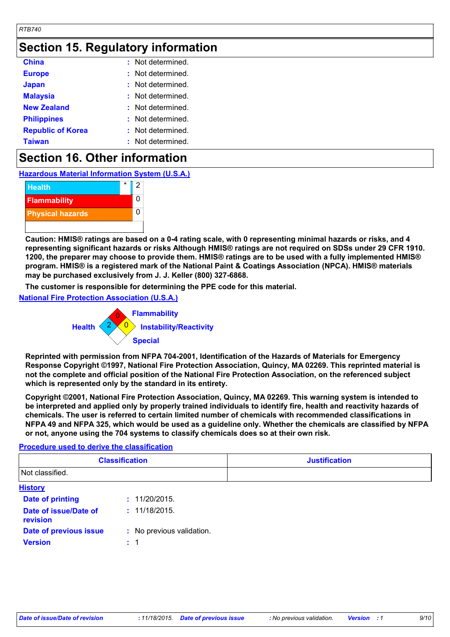## **Section 15. Regulatory information**

| <b>China</b>             | : Not determined.     |
|--------------------------|-----------------------|
| <b>Europe</b>            | Not determined.<br>t. |
| <b>Japan</b>             | : Not determined.     |
| <b>Malaysia</b>          | Not determined.<br>t. |
| <b>New Zealand</b>       | : Not determined.     |
| <b>Philippines</b>       | : Not determined.     |
| <b>Republic of Korea</b> | : Not determined.     |
| <b>Taiwan</b>            | : Not determined.     |

## **Section 16. Other information**

**Hazardous Material Information System (U.S.A.)**



**Caution: HMIS® ratings are based on a 0-4 rating scale, with 0 representing minimal hazards or risks, and 4 representing significant hazards or risks Although HMIS® ratings are not required on SDSs under 29 CFR 1910. 1200, the preparer may choose to provide them. HMIS® ratings are to be used with a fully implemented HMIS® program. HMIS® is a registered mark of the National Paint & Coatings Association (NPCA). HMIS® materials may be purchased exclusively from J. J. Keller (800) 327-6868.**

**The customer is responsible for determining the PPE code for this material.**

**National Fire Protection Association (U.S.A.)**



**Reprinted with permission from NFPA 704-2001, Identification of the Hazards of Materials for Emergency Response Copyright ©1997, National Fire Protection Association, Quincy, MA 02269. This reprinted material is not the complete and official position of the National Fire Protection Association, on the referenced subject which is represented only by the standard in its entirety.**

**Copyright ©2001, National Fire Protection Association, Quincy, MA 02269. This warning system is intended to be interpreted and applied only by properly trained individuals to identify fire, health and reactivity hazards of chemicals. The user is referred to certain limited number of chemicals with recommended classifications in NFPA 49 and NFPA 325, which would be used as a guideline only. Whether the chemicals are classified by NFPA or not, anyone using the 704 systems to classify chemicals does so at their own risk.**

#### **Procedure used to derive the classification**

| <b>Classification</b><br>Not classified. |                           | <b>Justification</b> |
|------------------------------------------|---------------------------|----------------------|
|                                          |                           |                      |
| <b>Date of printing</b>                  | : 11/20/2015.             |                      |
| Date of issue/Date of<br>revision        | : 11/18/2015.             |                      |
| Date of previous issue                   | : No previous validation. |                      |
| <b>Version</b>                           | $\div$ 1                  |                      |